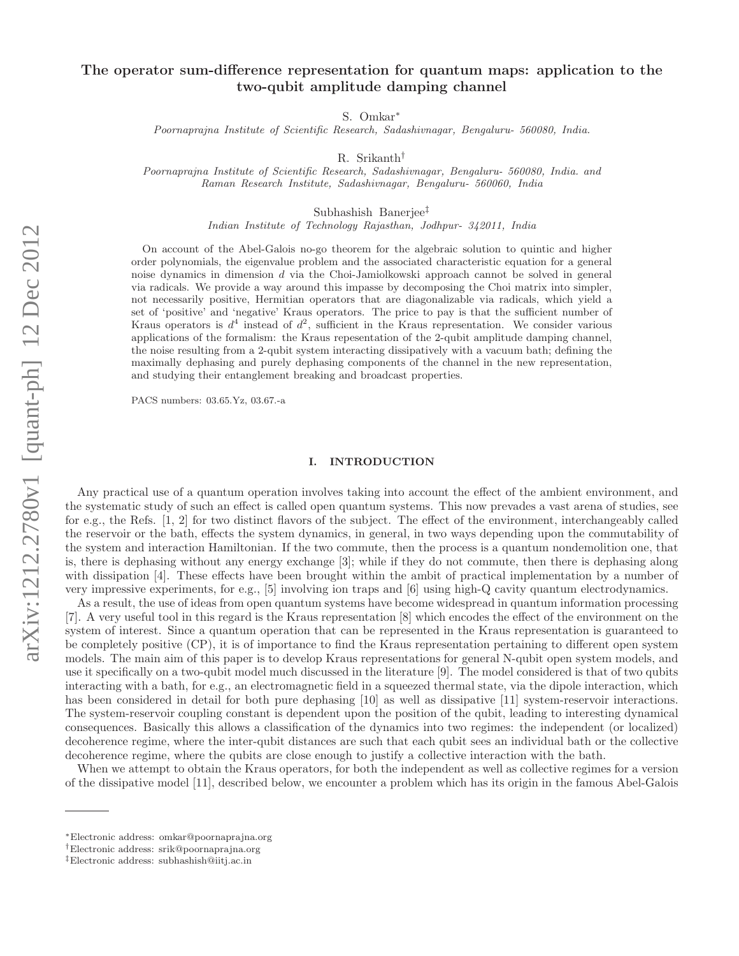# The operator sum-difference representation for quantum maps: application to the two-qubit amplitude damping channel

S. Omkar∗

Poornaprajna Institute of Scientific Research, Sadashivnagar, Bengaluru- 560080, India.

R. Srikanth†

Poornaprajna Institute of Scientific Research, Sadashivnagar, Bengaluru- 560080, India. and Raman Research Institute, Sadashivnagar, Bengaluru- 560060, India

Subhashish Banerjee‡

Indian Institute of Technology Rajasthan, Jodhpur- 342011, India

On account of the Abel-Galois no-go theorem for the algebraic solution to quintic and higher order polynomials, the eigenvalue problem and the associated characteristic equation for a general noise dynamics in dimension d via the Choi-Jamiolkowski approach cannot be solved in general via radicals. We provide a way around this impasse by decomposing the Choi matrix into simpler, not necessarily positive, Hermitian operators that are diagonalizable via radicals, which yield a set of 'positive' and 'negative' Kraus operators. The price to pay is that the sufficient number of Kraus operators is  $d^4$  instead of  $d^2$ , sufficient in the Kraus representation. We consider various applications of the formalism: the Kraus repesentation of the 2-qubit amplitude damping channel, the noise resulting from a 2-qubit system interacting dissipatively with a vacuum bath; defining the maximally dephasing and purely dephasing components of the channel in the new representation, and studying their entanglement breaking and broadcast properties.

PACS numbers: 03.65.Yz, 03.67.-a

#### I. INTRODUCTION

Any practical use of a quantum operation involves taking into account the effect of the ambient environment, and the systematic study of such an effect is called open quantum systems. This now prevades a vast arena of studies, see for e.g., the Refs. [1, 2] for two distinct flavors of the subject. The effect of the environment, interchangeably called the reservoir or the bath, effects the system dynamics, in general, in two ways depending upon the commutability of the system and interaction Hamiltonian. If the two commute, then the process is a quantum nondemolition one, that is, there is dephasing without any energy exchange [3]; while if they do not commute, then there is dephasing along with dissipation [4]. These effects have been brought within the ambit of practical implementation by a number of very impressive experiments, for e.g., [5] involving ion traps and [6] using high-Q cavity quantum electrodynamics.

As a result, the use of ideas from open quantum systems have become widespread in quantum information processing [7]. A very useful tool in this regard is the Kraus representation [8] which encodes the effect of the environment on the system of interest. Since a quantum operation that can be represented in the Kraus representation is guaranteed to be completely positive (CP), it is of importance to find the Kraus representation pertaining to different open system models. The main aim of this paper is to develop Kraus representations for general N-qubit open system models, and use it specifically on a two-qubit model much discussed in the literature [9]. The model considered is that of two qubits interacting with a bath, for e.g., an electromagnetic field in a squeezed thermal state, via the dipole interaction, which has been considered in detail for both pure dephasing [10] as well as dissipative [11] system-reservoir interactions. The system-reservoir coupling constant is dependent upon the position of the qubit, leading to interesting dynamical consequences. Basically this allows a classification of the dynamics into two regimes: the independent (or localized) decoherence regime, where the inter-qubit distances are such that each qubit sees an individual bath or the collective decoherence regime, where the qubits are close enough to justify a collective interaction with the bath.

When we attempt to obtain the Kraus operators, for both the independent as well as collective regimes for a version of the dissipative model [11], described below, we encounter a problem which has its origin in the famous Abel-Galois

<sup>∗</sup>Electronic address: omkar@poornaprajna.org

<sup>†</sup>Electronic address: srik@poornaprajna.org

<sup>‡</sup>Electronic address: subhashish@iitj.ac.in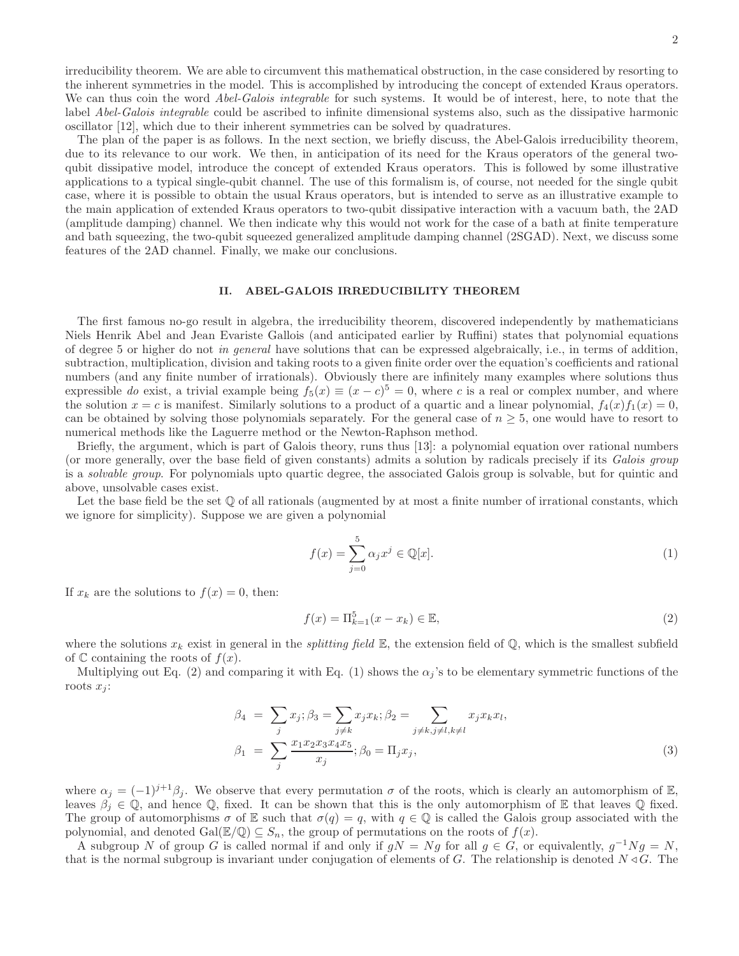irreducibility theorem. We are able to circumvent this mathematical obstruction, in the case considered by resorting to the inherent symmetries in the model. This is accomplished by introducing the concept of extended Kraus operators. We can thus coin the word *Abel-Galois integrable* for such systems. It would be of interest, here, to note that the label Abel-Galois integrable could be ascribed to infinite dimensional systems also, such as the dissipative harmonic oscillator [12], which due to their inherent symmetries can be solved by quadratures.

The plan of the paper is as follows. In the next section, we briefly discuss, the Abel-Galois irreducibility theorem, due to its relevance to our work. We then, in anticipation of its need for the Kraus operators of the general twoqubit dissipative model, introduce the concept of extended Kraus operators. This is followed by some illustrative applications to a typical single-qubit channel. The use of this formalism is, of course, not needed for the single qubit case, where it is possible to obtain the usual Kraus operators, but is intended to serve as an illustrative example to the main application of extended Kraus operators to two-qubit dissipative interaction with a vacuum bath, the 2AD (amplitude damping) channel. We then indicate why this would not work for the case of a bath at finite temperature and bath squeezing, the two-qubit squeezed generalized amplitude damping channel (2SGAD). Next, we discuss some features of the 2AD channel. Finally, we make our conclusions.

## II. ABEL-GALOIS IRREDUCIBILITY THEOREM

The first famous no-go result in algebra, the irreducibility theorem, discovered independently by mathematicians Niels Henrik Abel and Jean Evariste Gallois (and anticipated earlier by Ruffini) states that polynomial equations of degree 5 or higher do not in general have solutions that can be expressed algebraically, i.e., in terms of addition, subtraction, multiplication, division and taking roots to a given finite order over the equation's coefficients and rational numbers (and any finite number of irrationals). Obviously there are infinitely many examples where solutions thus expressible do exist, a trivial example being  $f_5(x) \equiv (x - c)^5 = 0$ , where c is a real or complex number, and where the solution  $x = c$  is manifest. Similarly solutions to a product of a quartic and a linear polynomial,  $f_4(x) f_1(x) = 0$ , can be obtained by solving those polynomials separately. For the general case of  $n \geq 5$ , one would have to resort to numerical methods like the Laguerre method or the Newton-Raphson method.

Briefly, the argument, which is part of Galois theory, runs thus [13]: a polynomial equation over rational numbers (or more generally, over the base field of given constants) admits a solution by radicals precisely if its Galois group is a solvable group. For polynomials upto quartic degree, the associated Galois group is solvable, but for quintic and above, unsolvable cases exist.

Let the base field be the set  $\mathbb Q$  of all rationals (augmented by at most a finite number of irrational constants, which we ignore for simplicity). Suppose we are given a polynomial

$$
f(x) = \sum_{j=0}^{5} \alpha_j x^j \in \mathbb{Q}[x].
$$
 (1)

If  $x_k$  are the solutions to  $f(x) = 0$ , then:

$$
f(x) = \Pi_{k=1}^{5}(x - x_k) \in \mathbb{E},
$$
\n(2)

where the solutions  $x_k$  exist in general in the *splitting field*  $\mathbb{E}$ , the extension field of  $\mathbb{Q}$ , which is the smallest subfield of  $\mathbb C$  containing the roots of  $f(x)$ .

Multiplying out Eq. (2) and comparing it with Eq. (1) shows the  $\alpha_i$ 's to be elementary symmetric functions of the roots  $x_i$ :

$$
\beta_4 = \sum_j x_j; \beta_3 = \sum_{j \neq k} x_j x_k; \beta_2 = \sum_{j \neq k, j \neq l, k \neq l} x_j x_k x_l, \n\beta_1 = \sum_j \frac{x_1 x_2 x_3 x_4 x_5}{x_j}; \beta_0 = \Pi_j x_j,
$$
\n(3)

where  $\alpha_j = (-1)^{j+1}\beta_j$ . We observe that every permutation  $\sigma$  of the roots, which is clearly an automorphism of E, leaves  $\beta_i \in \mathbb{Q}$ , and hence  $\mathbb{Q}$ , fixed. It can be shown that this is the only automorphism of E that leaves  $\mathbb{Q}$  fixed. The group of automorphisms  $\sigma$  of E such that  $\sigma(q) = q$ , with  $q \in \mathbb{Q}$  is called the Galois group associated with the polynomial, and denoted Gal( $\mathbb{E}/\mathbb{Q}$ )  $\subseteq S_n$ , the group of permutations on the roots of  $f(x)$ .

A subgroup N of group G is called normal if and only if  $gN = Ng$  for all  $g \in G$ , or equivalently,  $g^{-1}Ng = N$ , that is the normal subgroup is invariant under conjugation of elements of G. The relationship is denoted  $N \triangleleft G$ . The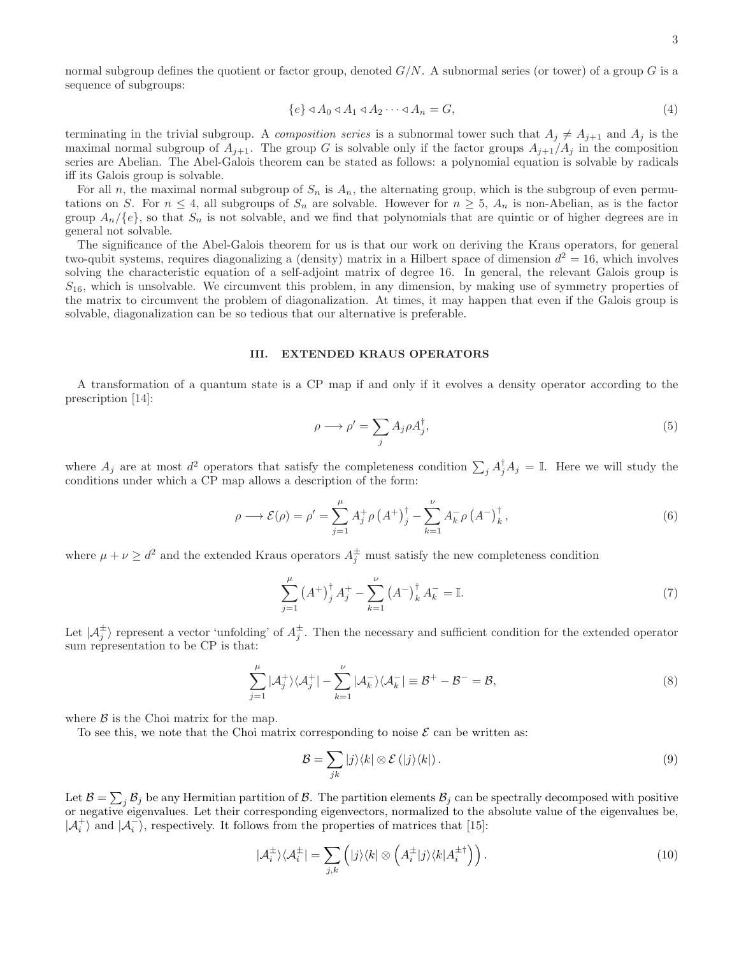$$
\{e\} \triangleleft A_0 \triangleleft A_1 \triangleleft A_2 \cdots \triangleleft A_n = G,\tag{4}
$$

terminating in the trivial subgroup. A composition series is a subnormal tower such that  $A_j \neq A_{j+1}$  and  $A_j$  is the maximal normal subgroup of  $A_{j+1}$ . The group G is solvable only if the factor groups  $A_{j+1}/A_j$  in the composition series are Abelian. The Abel-Galois theorem can be stated as follows: a polynomial equation is solvable by radicals iff its Galois group is solvable.

For all n, the maximal normal subgroup of  $S_n$  is  $A_n$ , the alternating group, which is the subgroup of even permutations on S. For  $n \leq 4$ , all subgroups of  $S_n$  are solvable. However for  $n \geq 5$ ,  $A_n$  is non-Abelian, as is the factor group  $A_n/\{e\}$ , so that  $S_n$  is not solvable, and we find that polynomials that are quintic or of higher degrees are in general not solvable.

The significance of the Abel-Galois theorem for us is that our work on deriving the Kraus operators, for general two-qubit systems, requires diagonalizing a (density) matrix in a Hilbert space of dimension  $d^2 = 16$ , which involves solving the characteristic equation of a self-adjoint matrix of degree 16. In general, the relevant Galois group is  $S_{16}$ , which is unsolvable. We circumvent this problem, in any dimension, by making use of symmetry properties of the matrix to circumvent the problem of diagonalization. At times, it may happen that even if the Galois group is solvable, diagonalization can be so tedious that our alternative is preferable.

#### III. EXTENDED KRAUS OPERATORS

A transformation of a quantum state is a CP map if and only if it evolves a density operator according to the prescription [14]:

$$
\rho \longrightarrow \rho' = \sum_{j} A_{j} \rho A_{j}^{\dagger},\tag{5}
$$

where  $A_j$  are at most  $d^2$  operators that satisfy the completeness condition  $\sum_j A_j^{\dagger} A_j = \mathbb{I}$ . Here we will study the conditions under which a CP map allows a description of the form:

$$
\rho \longrightarrow \mathcal{E}(\rho) = \rho' = \sum_{j=1}^{\mu} A_j^+ \rho \left( A^+ \right)_j^{\dagger} - \sum_{k=1}^{\nu} A_k^- \rho \left( A^- \right)_k^{\dagger}, \tag{6}
$$

where  $\mu + \nu \geq d^2$  and the extended Kraus operators  $A_j^{\pm}$  must satisfy the new completeness condition

$$
\sum_{j=1}^{\mu} (A^{+})_{j}^{\dagger} A_{j}^{+} - \sum_{k=1}^{\nu} (A^{-})_{k}^{\dagger} A_{k}^{-} = \mathbb{I}.
$$
 (7)

Let  $\vert A_j^{\pm} \rangle$  represent a vector 'unfolding' of  $A_j^{\pm}$ . Then the necessary and sufficient condition for the extended operator sum representation to be CP is that:

$$
\sum_{j=1}^{\mu} |\mathcal{A}_j^+\rangle\langle\mathcal{A}_j^+| - \sum_{k=1}^{\nu} |\mathcal{A}_k^-\rangle\langle\mathcal{A}_k^-| \equiv \mathcal{B}^+ - \mathcal{B}^- = \mathcal{B},\tag{8}
$$

where  $\beta$  is the Choi matrix for the map.

To see this, we note that the Choi matrix corresponding to noise  $\mathcal E$  can be written as:

$$
\mathcal{B} = \sum_{jk} |j\rangle\langle k| \otimes \mathcal{E}(|j\rangle\langle k|). \tag{9}
$$

Let  $\mathcal{B} = \sum_j \mathcal{B}_j$  be any Hermitian partition of  $\mathcal{B}$ . The partition elements  $\mathcal{B}_j$  can be spectrally decomposed with positive or negative eigenvalues. Let their corresponding eigenvectors, normalized to the absolute value of the eigenvalues be,  $|\mathcal{A}_i^+\rangle$  and  $|\mathcal{A}_i^-\rangle$ , respectively. It follows from the properties of matrices that [15]:

$$
|\mathcal{A}_i^{\pm}\rangle\langle\mathcal{A}_i^{\pm}| = \sum_{j,k} \left( |j\rangle\langle k| \otimes \left( A_i^{\pm} |j\rangle\langle k| A_i^{\pm \dagger} \right) \right). \tag{10}
$$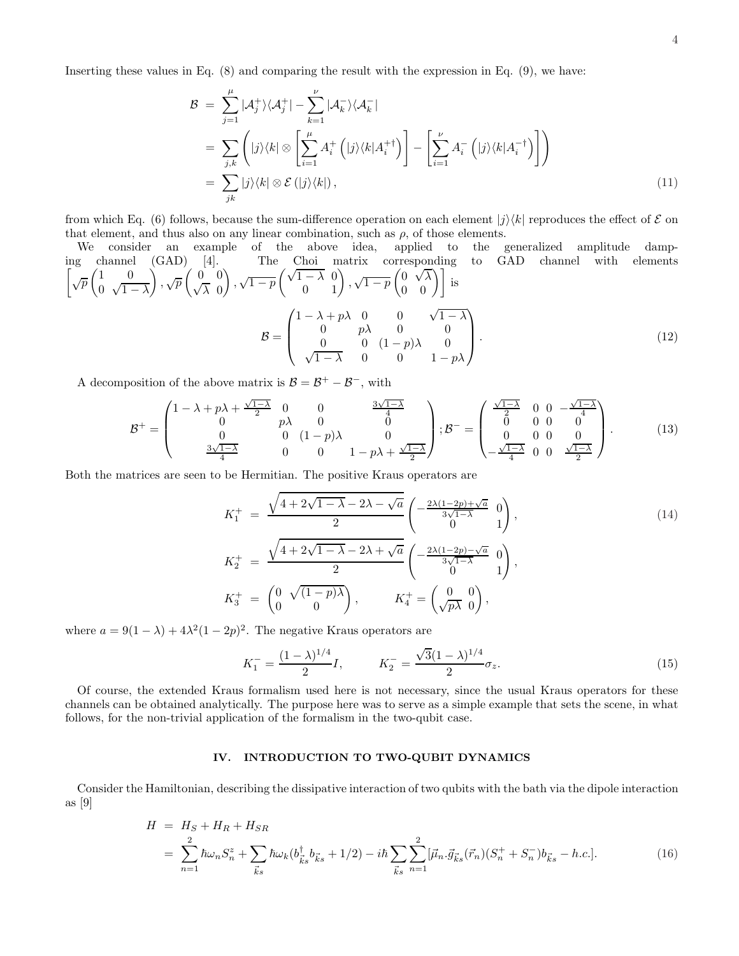Inserting these values in Eq. (8) and comparing the result with the expression in Eq. (9), we have:

$$
\mathcal{B} = \sum_{j=1}^{\mu} |\mathcal{A}_j^+ \rangle \langle \mathcal{A}_j^+| - \sum_{k=1}^{\nu} |\mathcal{A}_k^- \rangle \langle \mathcal{A}_k^-|
$$
  
\n
$$
= \sum_{j,k} \left( |j\rangle\langle k| \otimes \left[ \sum_{i=1}^{\mu} A_i^+ (|j\rangle\langle k|A_i^+)^{\dagger} \right] - \left[ \sum_{i=1}^{\nu} A_i^- (|j\rangle\langle k|A_i^-)^{\dagger} \right] \right)
$$
  
\n
$$
= \sum_{jk} |j\rangle\langle k| \otimes \mathcal{E}(|j\rangle\langle k|), \qquad (11)
$$

from which Eq. (6) follows, because the sum-difference operation on each element  $|j\rangle\langle k|$  reproduces the effect of  $\mathcal E$  on that element, and thus also on any linear combination, such as  $\rho$ , of those elements.

We consider an example of the above idea, applied to the generalized amplitude damping channel (GAD) [4]. The Choi matrix corresponding to GAD channel with elements\n
$$
\left[\sqrt{p}\begin{pmatrix} 1 & 0 \\ 0 & \sqrt{1-\lambda} \end{pmatrix}, \sqrt{p}\begin{pmatrix} 0 & 0 \\ \sqrt{\lambda} & 0 \end{pmatrix}, \sqrt{1-p}\begin{pmatrix} \sqrt{1-\lambda} & 0 \\ 0 & 1 \end{pmatrix}, \sqrt{1-p}\begin{pmatrix} 0 & \sqrt{\lambda} \\ 0 & 0 \end{pmatrix}\right]
$$
 is\n
$$
\mathcal{B} = \begin{pmatrix} 1 - \lambda + p\lambda & 0 & 0 & \sqrt{1-\lambda} \\ 0 & p\lambda & 0 & 0 \\ 0 & 0 & (1-p)\lambda & 0 \\ \sqrt{1-\lambda} & 0 & 0 & 1-p\lambda \end{pmatrix}.
$$
\n(12)

A decomposition of the above matrix is  $B = B^+ - B^-$ , with

$$
\mathcal{B}^{+} = \begin{pmatrix} 1 - \lambda + p\lambda + \frac{\sqrt{1-\lambda}}{2} & 0 & 0 & \frac{3\sqrt{1-\lambda}}{4} \\ 0 & p\lambda & 0 & 0 \\ 0 & 0 & (1-p)\lambda & 0 \\ \frac{3\sqrt{1-\lambda}}{4} & 0 & 0 & 1-p\lambda + \frac{\sqrt{1-\lambda}}{2} \end{pmatrix}; \mathcal{B}^{-} = \begin{pmatrix} \frac{\sqrt{1-\lambda}}{2} & 0 & 0 & -\frac{\sqrt{1-\lambda}}{4} \\ 0 & 0 & 0 & 0 \\ 0 & 0 & 0 & 0 \\ -\frac{\sqrt{1-\lambda}}{4} & 0 & 0 & \frac{\sqrt{1-\lambda}}{2} \end{pmatrix}.
$$
 (13)

Both the matrices are seen to be Hermitian. The positive Kraus operators are

$$
K_1^+ = \frac{\sqrt{4 + 2\sqrt{1 - \lambda} - 2\lambda - \sqrt{a}}}{2} \begin{pmatrix} -\frac{2\lambda(1 - 2p) + \sqrt{a}}{3\sqrt{1 - \lambda}} & 0\\ 0 & 1 \end{pmatrix},
$$
  
\n
$$
K_2^+ = \frac{\sqrt{4 + 2\sqrt{1 - \lambda} - 2\lambda + \sqrt{a}}}{2} \begin{pmatrix} -\frac{2\lambda(1 - 2p) - \sqrt{a}}{3\sqrt{1 - \lambda}} & 0\\ 0 & 1 \end{pmatrix},
$$
  
\n
$$
K_3^+ = \begin{pmatrix} 0 & \sqrt{(1 - p)\lambda} \\ 0 & 0 \end{pmatrix}, \qquad K_4^+ = \begin{pmatrix} 0 & 0 \\ \sqrt{p\lambda} & 0 \end{pmatrix},
$$
\n(14)

where  $a = 9(1 - \lambda) + 4\lambda^2(1 - 2p)^2$ . The negative Kraus operators are

$$
K_1^- = \frac{(1 - \lambda)^{1/4}}{2}I, \qquad K_2^- = \frac{\sqrt{3}(1 - \lambda)^{1/4}}{2}\sigma_z.
$$
 (15)

Of course, the extended Kraus formalism used here is not necessary, since the usual Kraus operators for these channels can be obtained analytically. The purpose here was to serve as a simple example that sets the scene, in what follows, for the non-trivial application of the formalism in the two-qubit case.

## IV. INTRODUCTION TO TWO-QUBIT DYNAMICS

Consider the Hamiltonian, describing the dissipative interaction of two qubits with the bath via the dipole interaction as [9]

$$
H = H_S + H_R + H_{SR}
$$
  
= 
$$
\sum_{n=1}^{2} \hbar \omega_n S_n^z + \sum_{\vec{k}s} \hbar \omega_k (b_{\vec{k}s} \dot{b}_{\vec{k}s} + 1/2) - i\hbar \sum_{\vec{k}s} \sum_{n=1}^{2} [\vec{\mu}_n \cdot \vec{g}_{\vec{k}s}(\vec{r}_n)(S_n^+ + S_n^-) b_{\vec{k}s} - h.c.].
$$
 (16)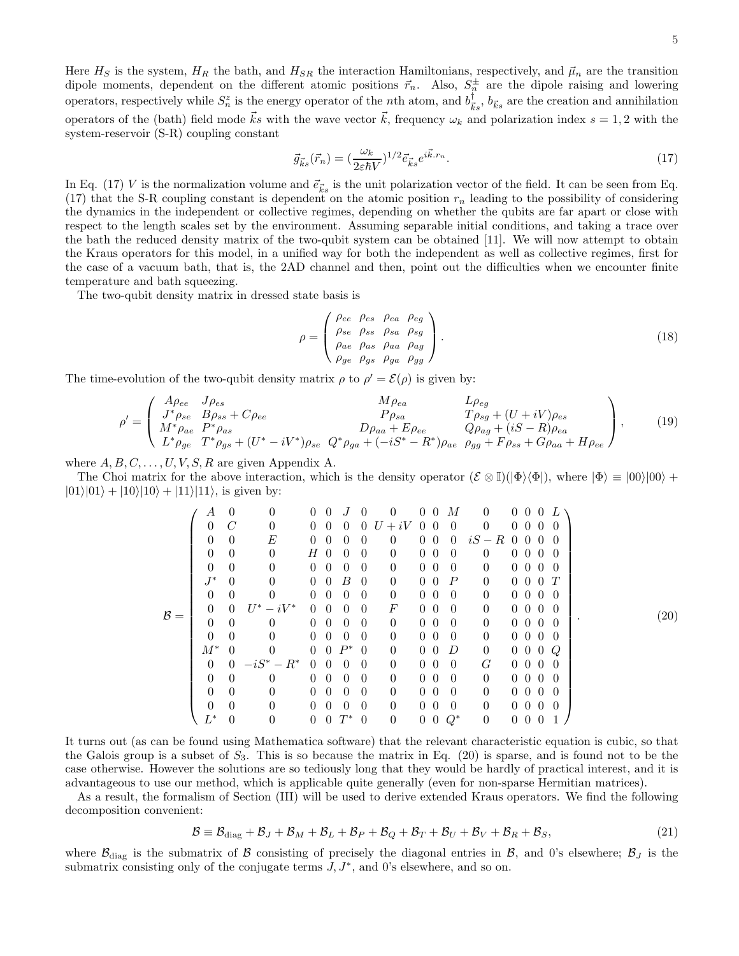Here  $H_S$  is the system,  $H_R$  the bath, and  $H_{SR}$  the interaction Hamiltonians, respectively, and  $\vec{\mu}_n$  are the transition dipole moments, dependent on the different atomic positions  $\vec{r}_n$ . Also,  $S_n^{\pm}$  are the dipole raising and lowering operators, respectively while  $S_n^z$  is the energy operator of the *n*th atom, and  $b_{\vec{k}s}^{\dagger}$ ,  $b_{\vec{k}s}$  are the creation and annihilation operators of the (bath) field mode  $\vec{k}$ s with the wave vector  $\vec{k}$ , frequency  $\omega_k$  and polarization index  $s = 1, 2$  with the system-reservoir (S-R) coupling constant

$$
\vec{g}_{\vec{k}s}(\vec{r}_n) = \left(\frac{\omega_k}{2\varepsilon\hbar V}\right)^{1/2} \vec{e}_{\vec{k}s} e^{i\vec{k} \cdot \vec{r}_n}.\tag{17}
$$

In Eq. (17) V is the normalization volume and  $\vec{e}_{\vec{k}s}$  is the unit polarization vector of the field. It can be seen from Eq. (17) that the S-R coupling constant is dependent on the atomic position  $r_n$  leading to the possibility of considering the dynamics in the independent or collective regimes, depending on whether the qubits are far apart or close with respect to the length scales set by the environment. Assuming separable initial conditions, and taking a trace over the bath the reduced density matrix of the two-qubit system can be obtained [11]. We will now attempt to obtain the Kraus operators for this model, in a unified way for both the independent as well as collective regimes, first for the case of a vacuum bath, that is, the 2AD channel and then, point out the difficulties when we encounter finite temperature and bath squeezing.

The two-qubit density matrix in dressed state basis is

$$
\rho = \begin{pmatrix} \rho_{ee} & \rho_{es} & \rho_{ea} & \rho_{eg} \\ \rho_{se} & \rho_{ss} & \rho_{sa} & \rho_{sg} \\ \rho_{ae} & \rho_{as} & \rho_{aa} & \rho_{ag} \\ \rho_{ge} & \rho_{gs} & \rho_{ga} & \rho_{gg} \end{pmatrix} . \tag{18}
$$

The time-evolution of the two-qubit density matrix  $\rho$  to  $\rho' = \mathcal{E}(\rho)$  is given by:

$$
\rho' = \begin{pmatrix}\nA\rho_{ee} & J\rho_{es} & L\rho_{ea} & L\rho_{eg} \\
J^*\rho_{se} & B\rho_{ss} + C\rho_{ee} & P\rho_{sa} & T\rho_{sg} + (U+iV)\rho_{es} \\
M^*\rho_{ae} & P^*\rho_{as} & D\rho_{aa} + E\rho_{ee} & Q\rho_{ag} + (iS - R)\rho_{ea} \\
L^*\rho_{ge} & T^*\rho_{gs} + (U^* - iV^*)\rho_{se} & Q^*\rho_{ga} + (-iS^* - R^*)\rho_{ae} & \rho_{gg} + F\rho_{ss} + G\rho_{aa} + H\rho_{ee}\n\end{pmatrix},
$$
\n(19)

where  $A, B, C, \ldots, U, V, S, R$  are given Appendix A.

The Choi matrix for the above interaction, which is the density operator  $(\mathcal{E} \otimes \mathbb{I})(|\Phi\rangle\langle\Phi|)$ , where  $|\Phi\rangle \equiv |00\rangle|00\rangle +$  $|01\rangle|01\rangle + |10\rangle|10\rangle + |11\rangle|11\rangle$ , is given by:

B = A 0 0 0 0 J 0 0 0 0 M 0 0 0 0 L 0 C 0 0 0 0 0 U + iV 0 0 0 0 0 0 0 0 0 0 E 0 0 0 0 0 0 0 0 iS − R 0 0 0 0 0 0 0 H 0 0 0 0 0 0 0 0 0 0 0 0 0 0 0 0 0 0 0 0 0 0 0 0 0 0 0 0 J ∗ 0 0 0 0 B 0 0 0 0 P 0 0 0 0 T 0 0 0 0 0 0 0 0 0 0 0 0 0 0 0 0 0 0 U <sup>∗</sup> − iV <sup>∗</sup> 0 0 0 0 F 0 0 0 0 0 0 0 0 0 0 0 0 0 0 0 0 0 0 0 0 0 0 0 0 0 0 0 0 0 0 0 0 0 0 0 0 0 0 0 0 M∗ 0 0 0 0 P ∗ 0 0 0 0 D 0 0 0 0 Q 0 0 −iS<sup>∗</sup> − R<sup>∗</sup> 0 0 0 0 0 0 0 0 G 0 0 0 0 0 0 0 0 0 0 0 0 0 0 0 0 0 0 0 0 0 0 0 0 0 0 0 0 0 0 0 0 0 0 0 0 0 0 0 0 0 0 0 0 0 0 0 0 0 0 0 0 L <sup>∗</sup> 0 0 0 0 T <sup>∗</sup> 0 0 0 0 Q<sup>∗</sup> 0 0 0 0 1 . (20)

It turns out (as can be found using Mathematica software) that the relevant characteristic equation is cubic, so that the Galois group is a subset of  $S_3$ . This is so because the matrix in Eq. (20) is sparse, and is found not to be the case otherwise. However the solutions are so tediously long that they would be hardly of practical interest, and it is advantageous to use our method, which is applicable quite generally (even for non-sparse Hermitian matrices).

As a result, the formalism of Section (III) will be used to derive extended Kraus operators. We find the following decomposition convenient:

$$
\mathcal{B} \equiv \mathcal{B}_{\text{diag}} + \mathcal{B}_J + \mathcal{B}_M + \mathcal{B}_L + \mathcal{B}_P + \mathcal{B}_Q + \mathcal{B}_T + \mathcal{B}_U + \mathcal{B}_V + \mathcal{B}_R + \mathcal{B}_S, \tag{21}
$$

where  $\mathcal{B}_{\text{diag}}$  is the submatrix of B consisting of precisely the diagonal entries in B, and 0's elsewhere;  $\mathcal{B}_J$  is the submatrix consisting only of the conjugate terms  $J, J^*$ , and 0's elsewhere, and so on.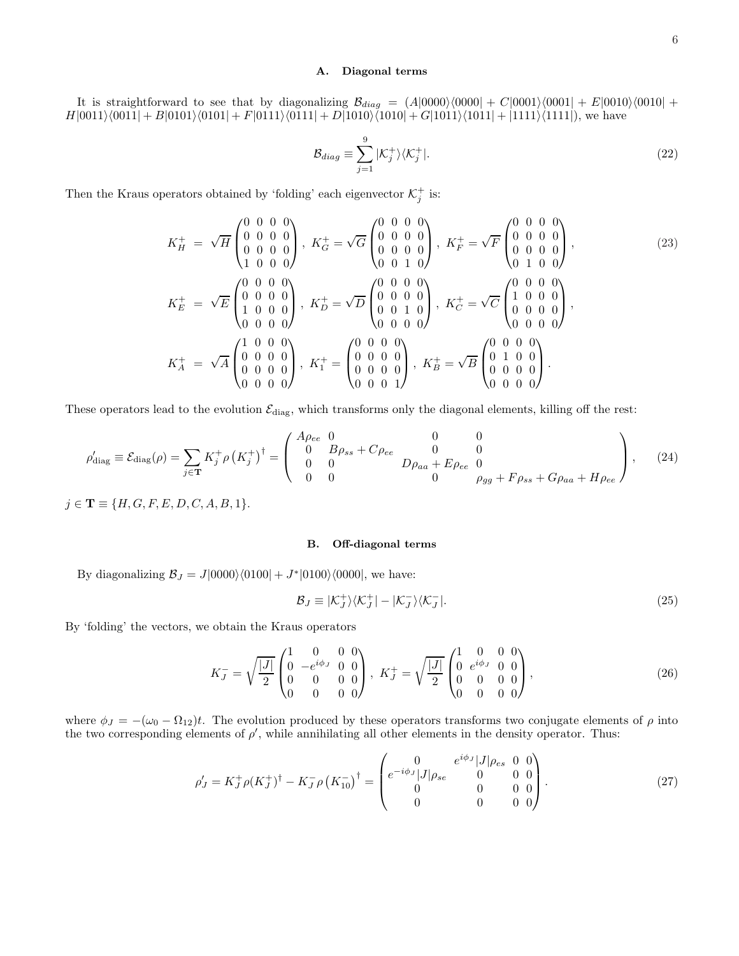## A. Diagonal terms

It is straightforward to see that by diagonalizing  $B_{diag} = (A|0000\rangle\langle0000| + C|0001\rangle\langle0001| + E|0010\rangle\langle0010| +$  $H|0011\rangle\langle0011| + B|0101\rangle\langle0101| + F|0111\rangle\langle0111| + D|1010\rangle\langle1010| + G|1011\rangle\langle1011| + |1111\rangle\langle1111|)$ , we have

$$
\mathcal{B}_{diag} \equiv \sum_{j=1}^{9} |\mathcal{K}_j^+\rangle\langle\mathcal{K}_j^+|.\tag{22}
$$

Then the Kraus operators obtained by 'folding' each eigenvector  $\mathcal{K}^+_j$  is:

$$
K_H^+ = \sqrt{H} \begin{pmatrix} 0 & 0 & 0 & 0 \\ 0 & 0 & 0 & 0 \\ 0 & 0 & 0 & 0 \\ 1 & 0 & 0 & 0 \end{pmatrix}, \ K_G^+ = \sqrt{G} \begin{pmatrix} 0 & 0 & 0 & 0 \\ 0 & 0 & 0 & 0 \\ 0 & 0 & 0 & 0 \\ 0 & 0 & 1 & 0 \end{pmatrix}, \ K_F^+ = \sqrt{F} \begin{pmatrix} 0 & 0 & 0 & 0 \\ 0 & 0 & 0 & 0 \\ 0 & 0 & 0 & 0 \\ 0 & 1 & 0 & 0 \end{pmatrix},
$$
  
\n
$$
K_E^+ = \sqrt{E} \begin{pmatrix} 0 & 0 & 0 & 0 \\ 0 & 0 & 0 & 0 \\ 1 & 0 & 0 & 0 \\ 0 & 0 & 0 & 0 \end{pmatrix}, \ K_D^+ = \sqrt{D} \begin{pmatrix} 0 & 0 & 0 & 0 \\ 0 & 0 & 0 & 0 \\ 0 & 0 & 1 & 0 \\ 0 & 0 & 0 & 0 \end{pmatrix}, \ K_C^+ = \sqrt{C} \begin{pmatrix} 0 & 0 & 0 & 0 \\ 1 & 0 & 0 & 0 \\ 0 & 0 & 0 & 0 \\ 0 & 0 & 0 & 0 \end{pmatrix},
$$
  
\n
$$
K_A^+ = \sqrt{A} \begin{pmatrix} 1 & 0 & 0 & 0 \\ 0 & 0 & 0 & 0 \\ 0 & 0 & 0 & 0 \\ 0 & 0 & 0 & 0 \end{pmatrix}, \ K_I^+ = \begin{pmatrix} 0 & 0 & 0 & 0 \\ 0 & 0 & 0 & 0 \\ 0 & 0 & 0 & 0 \\ 0 & 0 & 0 & 1 \end{pmatrix}, \ K_B^+ = \sqrt{B} \begin{pmatrix} 0 & 0 & 0 & 0 \\ 0 & 1 & 0 & 0 \\ 0 & 0 & 0 & 0 \\ 0 & 0 & 0 & 0 \end{pmatrix}.
$$
 (23)

These operators lead to the evolution  $\mathcal{E}_{\text{diag}}$ , which transforms only the diagonal elements, killing off the rest:

$$
\rho'_{\text{diag}} \equiv \mathcal{E}_{\text{diag}}(\rho) = \sum_{j \in \mathbf{T}} K_j^+ \rho \left( K_j^+ \right)^{\dagger} = \begin{pmatrix} A_{\rho_{ee}} & 0 & 0 & 0 \\ 0 & B\rho_{ss} + C\rho_{ee} & 0 & 0 \\ 0 & 0 & D\rho_{aa} + E\rho_{ee} & 0 \\ 0 & 0 & 0 & \rho_{gg} + F\rho_{ss} + G\rho_{aa} + H\rho_{ee} \end{pmatrix}, \quad (24)
$$

 $j \in T \equiv \{H, G, F, E, D, C, A, B, 1\}.$ 

### B. Off-diagonal terms

By diagonalizing  $B_J = J|0000\rangle\langle0100| + J^*|0100\rangle\langle0000|$ , we have:

$$
\mathcal{B}_J \equiv |\mathcal{K}_J^+\rangle\langle\mathcal{K}_J^+| - |\mathcal{K}_J^-\rangle\langle\mathcal{K}_J^-|.\tag{25}
$$

By 'folding' the vectors, we obtain the Kraus operators

$$
K_J^- = \sqrt{\frac{|J|}{2}} \begin{pmatrix} 1 & 0 & 0 & 0 \\ 0 & -e^{i\phi_J} & 0 & 0 \\ 0 & 0 & 0 & 0 \\ 0 & 0 & 0 & 0 \end{pmatrix}, \ K_J^+ = \sqrt{\frac{|J|}{2}} \begin{pmatrix} 1 & 0 & 0 & 0 \\ 0 & e^{i\phi_J} & 0 & 0 \\ 0 & 0 & 0 & 0 \\ 0 & 0 & 0 & 0 \end{pmatrix}, \tag{26}
$$

where  $\phi_J = -(\omega_0 - \Omega_{12})t$ . The evolution produced by these operators transforms two conjugate elements of  $\rho$  into the two corresponding elements of  $\rho'$ , while annihilating all other elements in the density operator. Thus:

$$
\rho'_{J} = K_{J}^{+} \rho (K_{J}^{+})^{\dagger} - K_{J}^{-} \rho (K_{10}^{-})^{\dagger} = \begin{pmatrix} 0 & e^{i\phi_{J}} |J|\rho_{es} & 0 & 0 \\ e^{-i\phi_{J}} |J|\rho_{se} & 0 & 0 & 0 \\ 0 & 0 & 0 & 0 \\ 0 & 0 & 0 & 0 \end{pmatrix}.
$$
 (27)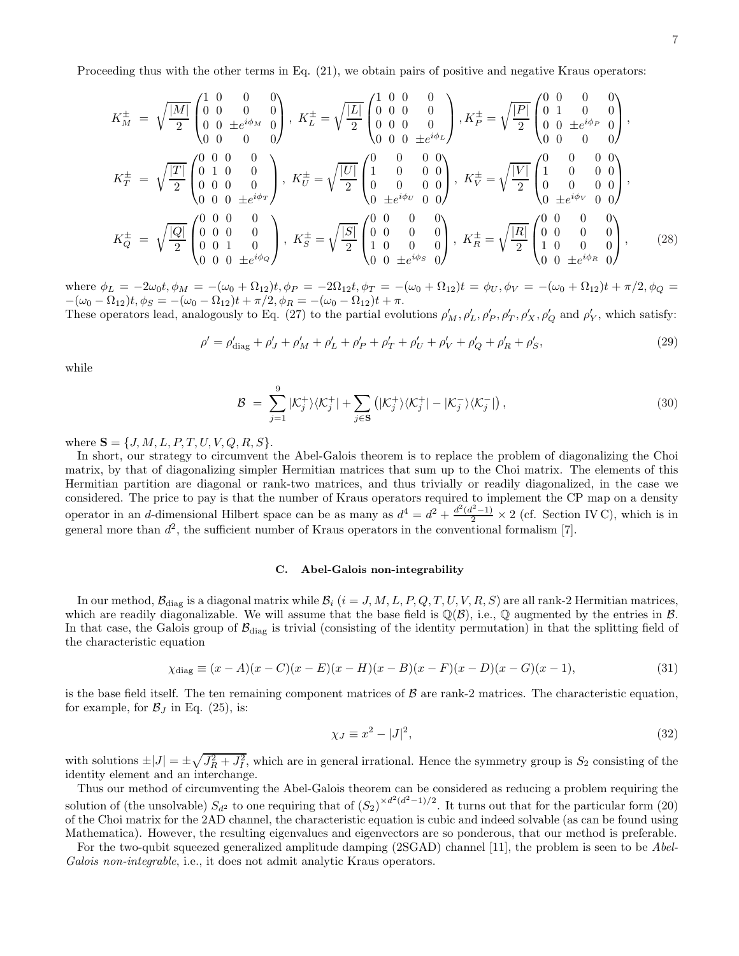Proceeding thus with the other terms in Eq.  $(21)$ , we obtain pairs of positive and negative Kraus operators:

$$
K_{M}^{\pm} = \sqrt{\frac{|M|}{2}} \begin{pmatrix} 1 & 0 & 0 & 0 \\ 0 & 0 & 0 & 0 \\ 0 & 0 & \pm e^{i\phi_{M}} & 0 \\ 0 & 0 & 0 & 0 \end{pmatrix}, \ K_{L}^{\pm} = \sqrt{\frac{|L|}{2}} \begin{pmatrix} 1 & 0 & 0 & 0 \\ 0 & 0 & 0 & 0 \\ 0 & 0 & 0 & 0 \\ 0 & 0 & 0 & \pm e^{i\phi_{L}} \end{pmatrix}, \ K_{P}^{\pm} = \sqrt{\frac{|P|}{2}} \begin{pmatrix} 0 & 0 & 0 & 0 \\ 0 & 1 & 0 & 0 \\ 0 & 0 & \pm e^{i\phi_{P}} & 0 \\ 0 & 0 & 0 & 0 \end{pmatrix},
$$
  
\n
$$
K_{T}^{\pm} = \sqrt{\frac{|T|}{2}} \begin{pmatrix} 0 & 0 & 0 & 0 \\ 0 & 1 & 0 & 0 \\ 0 & 0 & 0 & 0 \\ 0 & 0 & 0 & \pm e^{i\phi_{T}} \end{pmatrix}, \ K_{U}^{\pm} = \sqrt{\frac{|U|}{2}} \begin{pmatrix} 0 & 0 & 0 & 0 \\ 1 & 0 & 0 & 0 \\ 0 & 0 & 0 & 0 \\ 0 & \pm e^{i\phi_{U}} & 0 & 0 \end{pmatrix}, \ K_{V}^{\pm} = \sqrt{\frac{|V|}{2}} \begin{pmatrix} 0 & 0 & 0 & 0 \\ 1 & 0 & 0 & 0 \\ 0 & \pm e^{i\phi_{U}} & 0 & 0 \end{pmatrix},
$$
  
\n
$$
K_{Q}^{\pm} = \sqrt{\frac{|Q|}{2}} \begin{pmatrix} 0 & 0 & 0 & 0 \\ 0 & 0 & 0 & 0 \\ 0 & 0 & 1 & 0 \\ 0 & 0 & 0 & \pm e^{i\phi_{Q}}} \end{pmatrix}, \ K_{S}^{\pm} = \sqrt{\frac{|S|}{2}} \begin{pmatrix} 0 & 0 & 0 & 0 \\ 0 & 0 & 0 & 0 \\ 1 & 0 & 0 & 0 \\ 0 & 0 & \pm e^{i\phi_{S}} & 0 \end{pmatrix}, \ K_{R}^{\pm} = \sqrt{\frac{|R|}{2}} \begin{pmatrix} 0 & 0 & 0 & 0 \\ 0 & 0 & 0 & 0 \\ 1 &
$$

where  $\phi_L = -2\omega_0 t$ ,  $\phi_M = -(\omega_0 + \Omega_{12})t$ ,  $\phi_P = -2\Omega_{12}t$ ,  $\phi_T = -(\omega_0 + \Omega_{12})t = \phi_U$ ,  $\phi_V = -(\omega_0 + \Omega_{12})t + \pi/2$ ,  $\phi_Q = -2\Omega_{12}t$  $-(\omega_0 - \Omega_{12})t, \phi_S = -(\omega_0 - \Omega_{12})t + \pi/2, \phi_R = -(\omega_0 - \Omega_{12})t + \pi.$ 

These operators lead, analogously to Eq. (27) to the partial evolutions  $\rho'_M$ ,  $\rho'_L$ ,  $\rho'_P$ ,  $\rho'_T$ ,  $\rho'_X$ ,  $\rho'_Q$  and  $\rho'_Y$ , which satisfy:

$$
\rho' = \rho'_{\text{diag}} + \rho'_{J} + \rho'_{M} + \rho'_{L} + \rho'_{P} + \rho'_{T} + \rho'_{U} + \rho'_{V} + \rho'_{Q} + \rho'_{R} + \rho'_{S},\tag{29}
$$

while

$$
\mathcal{B} = \sum_{j=1}^{9} |\mathcal{K}_j^+\rangle\langle\mathcal{K}_j^+| + \sum_{j\in\mathbf{S}} (|\mathcal{K}_j^+\rangle\langle\mathcal{K}_j^+| - |\mathcal{K}_j^-\rangle\langle\mathcal{K}_j^-|), \qquad (30)
$$

where  $S = \{J, M, L, P, T, U, V, Q, R, S\}.$ 

In short, our strategy to circumvent the Abel-Galois theorem is to replace the problem of diagonalizing the Choi matrix, by that of diagonalizing simpler Hermitian matrices that sum up to the Choi matrix. The elements of this Hermitian partition are diagonal or rank-two matrices, and thus trivially or readily diagonalized, in the case we considered. The price to pay is that the number of Kraus operators required to implement the CP map on a density operator in an d-dimensional Hilbert space can be as many as  $d^4 = d^2 + \frac{d^2(d^2-1)}{2} \times 2$  (cf. Section IV C), which is in general more than  $d^2$ , the sufficient number of Kraus operators in the conventional formalism [7].

### C. Abel-Galois non-integrability

In our method,  $\mathcal{B}_{diag}$  is a diagonal matrix while  $\mathcal{B}_i$  (i = J, M, L, P, Q, T, U, V, R, S) are all rank-2 Hermitian matrices, which are readily diagonalizable. We will assume that the base field is  $\mathbb{Q}(\mathcal{B})$ , i.e.,  $\mathbb{Q}$  augmented by the entries in  $\mathcal{B}$ . In that case, the Galois group of  $B_{\text{diag}}$  is trivial (consisting of the identity permutation) in that the splitting field of the characteristic equation

$$
\chi_{\text{diag}} \equiv (x - A)(x - C)(x - E)(x - H)(x - B)(x - F)(x - D)(x - G)(x - 1), \tag{31}
$$

is the base field itself. The ten remaining component matrices of  $\beta$  are rank-2 matrices. The characteristic equation, for example, for  $\mathcal{B}_J$  in Eq. (25), is:

$$
\chi_J \equiv x^2 - |J|^2,\tag{32}
$$

with solutions  $\pm |J| = \pm \sqrt{J_R^2 + J_I^2}$ , which are in general irrational. Hence the symmetry group is  $S_2$  consisting of the identity element and an interchange.

Thus our method of circumventing the Abel-Galois theorem can be considered as reducing a problem requiring the solution of (the unsolvable)  $S_{d^2}$  to one requiring that of  $(S_2)^{\times d^2(d^2-1)/2}$ . It turns out that for the particular form (20) of the Choi matrix for the 2AD channel, the characteristic equation is cubic and indeed solvable (as can be found using Mathematica). However, the resulting eigenvalues and eigenvectors are so ponderous, that our method is preferable.

For the two-qubit squeezed generalized amplitude damping (2SGAD) channel [11], the problem is seen to be Abel-Galois non-integrable, i.e., it does not admit analytic Kraus operators.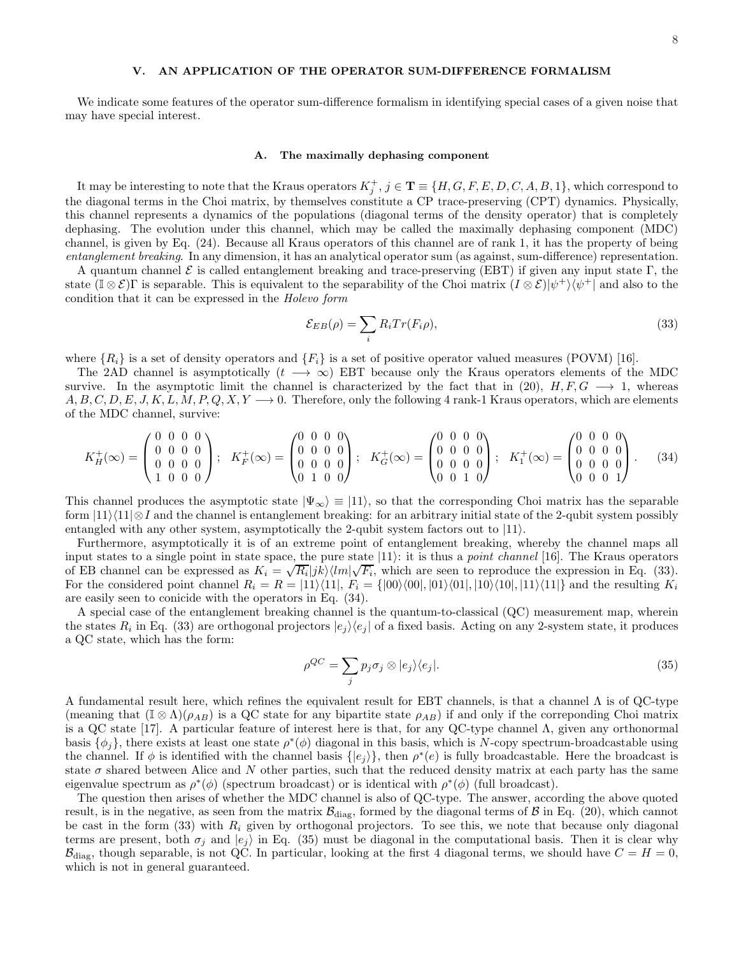## V. AN APPLICATION OF THE OPERATOR SUM-DIFFERENCE FORMALISM

We indicate some features of the operator sum-difference formalism in identifying special cases of a given noise that may have special interest.

#### A. The maximally dephasing component

It may be interesting to note that the Kraus operators  $K_j^+, j \in \mathbf{T} \equiv \{H, G, F, E, D, C, A, B, 1\}$ , which correspond to the diagonal terms in the Choi matrix, by themselves constitute a CP trace-preserving (CPT) dynamics. Physically, this channel represents a dynamics of the populations (diagonal terms of the density operator) that is completely dephasing. The evolution under this channel, which may be called the maximally dephasing component (MDC) channel, is given by Eq. (24). Because all Kraus operators of this channel are of rank 1, it has the property of being entanglement breaking. In any dimension, it has an analytical operator sum (as against, sum-difference) representation.

A quantum channel  $\mathcal E$  is called entanglement breaking and trace-preserving (EBT) if given any input state Γ, the state  $(\mathbb{I} \otimes \mathcal{E})\Gamma$  is separable. This is equivalent to the separability of the Choi matrix  $(I \otimes \mathcal{E})|\psi^+\rangle\langle\psi^+|$  and also to the condition that it can be expressed in the Holevo form

$$
\mathcal{E}_{EB}(\rho) = \sum_{i} R_i Tr(F_i \rho),\tag{33}
$$

where  $\{R_i\}$  is a set of density operators and  $\{F_i\}$  is a set of positive operator valued measures (POVM) [16].

The 2AD channel is asymptotically  $(t \rightarrow \infty)$  EBT because only the Kraus operators elements of the MDC survive. In the asymptotic limit the channel is characterized by the fact that in (20),  $H, F, G \longrightarrow 1$ , whereas  $A, B, C, D, E, J, K, L, M, P, Q, X, Y \longrightarrow 0$ . Therefore, only the following 4 rank-1 Kraus operators, which are elements of the MDC channel, survive:

$$
K_H^+(\infty) = \begin{pmatrix} 0 & 0 & 0 & 0 \\ 0 & 0 & 0 & 0 \\ 0 & 0 & 0 & 0 \\ 1 & 0 & 0 & 0 \end{pmatrix}; \quad K_F^+(\infty) = \begin{pmatrix} 0 & 0 & 0 & 0 \\ 0 & 0 & 0 & 0 \\ 0 & 0 & 0 & 0 \\ 0 & 1 & 0 & 0 \end{pmatrix}; \quad K_G^+(\infty) = \begin{pmatrix} 0 & 0 & 0 & 0 \\ 0 & 0 & 0 & 0 \\ 0 & 0 & 0 & 0 \\ 0 & 0 & 1 & 0 \end{pmatrix}; \quad K_1^+(\infty) = \begin{pmatrix} 0 & 0 & 0 & 0 \\ 0 & 0 & 0 & 0 \\ 0 & 0 & 0 & 0 \\ 0 & 0 & 0 & 1 \end{pmatrix}.
$$
 (34)

This channel produces the asymptotic state  $|\Psi_{\infty}\rangle \equiv |11\rangle$ , so that the corresponding Choi matrix has the separable form  $|11\rangle\langle11|\otimes I$  and the channel is entanglement breaking: for an arbitrary initial state of the 2-qubit system possibly entangled with any other system, asymptotically the 2-qubit system factors out to  $|11\rangle$ .

Furthermore, asymptotically it is of an extreme point of entanglement breaking, whereby the channel maps all input states to a single point in state space, the pure state  $|11\rangle$ : it is thus a *point channel* [16]. The Kraus operators of EB channel can be expressed as  $K_i = \sqrt{R_i} |jk\rangle \langle lm|\sqrt{F_i}$ , which are seen to reproduce the expression in Eq. (33). For the considered point channel  $R_i = R = |11\rangle\langle11|, F_i = \{ |00\rangle\langle00|, |01\rangle\langle01|, |10\rangle\langle10|, |11\rangle\langle11| \}$  and the resulting  $K_i$ are easily seen to conicide with the operators in Eq. (34).

A special case of the entanglement breaking channel is the quantum-to-classical (QC) measurement map, wherein the states  $R_i$  in Eq. (33) are orthogonal projectors  $|e_j\rangle\langle e_j|$  of a fixed basis. Acting on any 2-system state, it produces a QC state, which has the form:

$$
\rho^{QC} = \sum_j p_j \sigma_j \otimes |e_j\rangle\langle e_j|.\tag{35}
$$

A fundamental result here, which refines the equivalent result for EBT channels, is that a channel Λ is of QC-type (meaning that  $(\mathbb{I} \otimes \Lambda)(\rho_{AB})$  is a QC state for any bipartite state  $\rho_{AB}$ ) if and only if the correponding Choi matrix is a QC state [17]. A particular feature of interest here is that, for any QC-type channel  $\Lambda$ , given any orthonormal basis  $\{\phi_j\}$ , there exists at least one state  $\rho^*(\phi)$  diagonal in this basis, which is N-copy spectrum-broadcastable using the channel. If  $\phi$  is identified with the channel basis  $\{|e_j\rangle\}$ , then  $\rho^*(e)$  is fully broadcastable. Here the broadcast is state  $\sigma$  shared between Alice and N other parties, such that the reduced density matrix at each party has the same eigenvalue spectrum as  $\rho^*(\phi)$  (spectrum broadcast) or is identical with  $\rho^*(\phi)$  (full broadcast).

The question then arises of whether the MDC channel is also of QC-type. The answer, according the above quoted result, is in the negative, as seen from the matrix  $\mathcal{B}_{\text{diag}}$ , formed by the diagonal terms of  $\beta$  in Eq. (20), which cannot be cast in the form (33) with  $R_i$  given by orthogonal projectors. To see this, we note that because only diagonal terms are present, both  $\sigma_i$  and  $|e_i\rangle$  in Eq. (35) must be diagonal in the computational basis. Then it is clear why  $\mathcal{B}_{\text{diag}}$ , though separable, is not QC. In particular, looking at the first 4 diagonal terms, we should have  $C = H = 0$ , which is not in general guaranteed.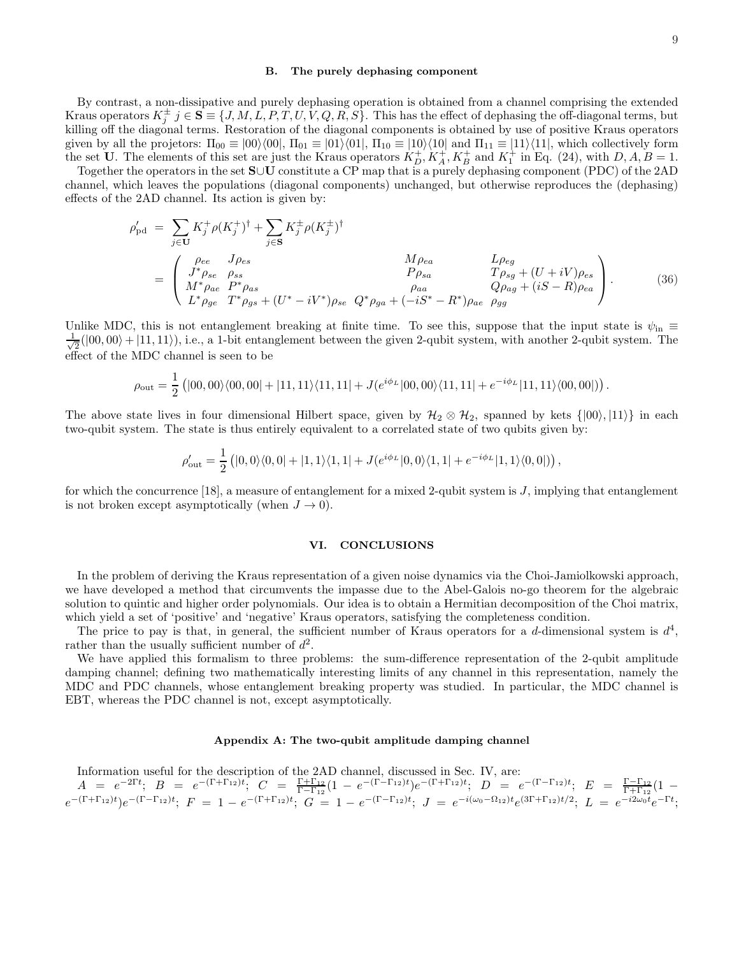#### B. The purely dephasing component

By contrast, a non-dissipative and purely dephasing operation is obtained from a channel comprising the extended Kraus operators  $K_j^{\pm}$   $j \in \mathbf{S} \equiv \{J, M, L, P, T, U, V, Q, R, S\}$ . This has the effect of dephasing the off-diagonal terms, but killing off the diagonal terms. Restoration of the diagonal components is obtained by use of positive Kraus operators given by all the projetors:  $\Pi_{00} \equiv |00\rangle\langle00|, \Pi_{01} \equiv |01\rangle\langle01|, \Pi_{10} \equiv |10\rangle\langle10|$  and  $\Pi_{11} \equiv |11\rangle\langle11|$ , which collectively form the set **U**. The elements of this set are just the Kraus operators  $K_D^+, K_A^+, K_B^+$  and  $K_1^+$  in Eq. (24), with  $D, A, B = 1$ .

Together the operators in the set <sup>S</sup>∪<sup>U</sup> constitute a CP map that is a purely dephasing component (PDC) of the 2AD channel, which leaves the populations (diagonal components) unchanged, but otherwise reproduces the (dephasing) effects of the 2AD channel. Its action is given by:

$$
\rho'_{\rm pd} = \sum_{j \in U} K_j^+ \rho (K_j^+)^{\dagger} + \sum_{j \in S} K_j^{\dagger} \rho (K_j^{\dagger})^{\dagger} \n= \begin{pmatrix}\n\rho_{ee} & J \rho_{es} & M \rho_{ea} & L \rho_{eg} \\
J^* \rho_{se} & \rho_{ss} & P \rho_{sa} & T \rho_{sg} + (U + iV) \rho_{es} \\
M^* \rho_{ae} & P^* \rho_{as} & \rho_{aa} & Q \rho_{ag} + (iS - R) \rho_{ea} \\
L^* \rho_{ge} & T^* \rho_{gs} + (U^* - iV^*) \rho_{se} & Q^* \rho_{ga} + (-iS^* - R^*) \rho_{ae} & \rho_{gg}\n\end{pmatrix}.
$$
\n(36)

Unlike MDC, this is not entanglement breaking at finite time. To see this, suppose that the input state is  $\psi_{\rm in} \equiv$ √ 1  $\frac{1}{2}(|00,00\rangle + |11,11\rangle),$  i.e., a 1-bit entanglement between the given 2-qubit system, with another 2-qubit system. The effect of the MDC channel is seen to be

$$
\rho_{\text{out}} = \frac{1}{2} \left( |00,00\rangle\langle00,00| + |11,11\rangle\langle11,11| + J(e^{i\phi_L}|00,00\rangle\langle11,11| + e^{-i\phi_L}|11,11\rangle\langle00,00|) \right).
$$

The above state lives in four dimensional Hilbert space, given by  $\mathcal{H}_2 \otimes \mathcal{H}_2$ , spanned by kets  $\{ |00\rangle, |11\rangle \}$  in each two-qubit system. The state is thus entirely equivalent to a correlated state of two qubits given by:

$$
\rho_{\text{out}}' = \frac{1}{2} \left( |0,0\rangle\langle0,0| + |1,1\rangle\langle1,1| + J(e^{i\phi_L}|0,0\rangle\langle1,1| + e^{-i\phi_L}|1,1\rangle\langle0,0|) \right),
$$

for which the concurrence [18], a measure of entanglement for a mixed 2-qubit system is  $J$ , implying that entanglement is not broken except asymptotically (when  $J \to 0$ ).

### VI. CONCLUSIONS

In the problem of deriving the Kraus representation of a given noise dynamics via the Choi-Jamiolkowski approach, we have developed a method that circumvents the impasse due to the Abel-Galois no-go theorem for the algebraic solution to quintic and higher order polynomials. Our idea is to obtain a Hermitian decomposition of the Choi matrix, which yield a set of 'positive' and 'negative' Kraus operators, satisfying the completeness condition.

The price to pay is that, in general, the sufficient number of Kraus operators for a d-dimensional system is  $d^4$ , rather than the usually sufficient number of  $d^2$ .

We have applied this formalism to three problems: the sum-difference representation of the 2-qubit amplitude damping channel; defining two mathematically interesting limits of any channel in this representation, namely the MDC and PDC channels, whose entanglement breaking property was studied. In particular, the MDC channel is EBT, whereas the PDC channel is not, except asymptotically.

#### Appendix A: The two-qubit amplitude damping channel

Information useful for the description of the 2AD channel, discussed in Sec. IV, are:

$$
A = e^{-2\Gamma t}; \quad B = e^{-(\Gamma + \Gamma_{12})t}; \quad C = \frac{\Gamma + \Gamma_{12}}{\Gamma - \Gamma_{12}}(1 - e^{-(\Gamma - \Gamma_{12})t})e^{-(\Gamma + \Gamma_{12})t}; \quad D = e^{-(\Gamma - \Gamma_{12})t}; \quad E = \frac{\Gamma - \Gamma_{12}}{\Gamma + \Gamma_{12}}(1 - e^{-(\Gamma + \Gamma_{12})t}); \quad C = 1 - e^{-(\Gamma - \Gamma_{12})t}; \quad J = e^{-i(\omega_0 - \Omega_{12})t}e^{(3\Gamma + \Gamma_{12})t/2}; \quad L = e^{-i2\omega_0 t}e^{-\Gamma t};
$$